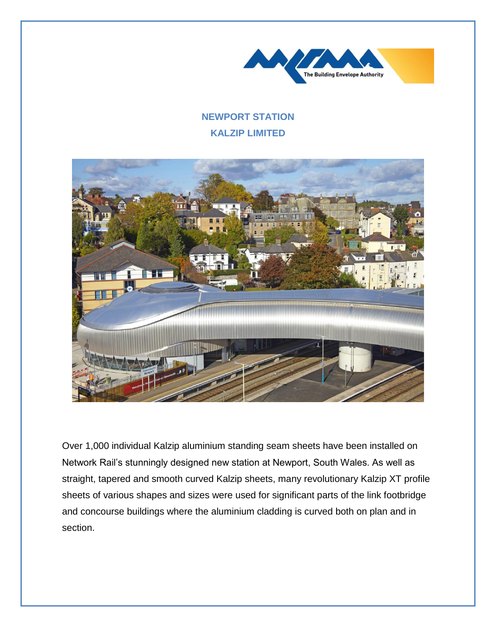

## **NEWPORT STATION KALZIP LIMITED**



Over 1,000 individual Kalzip aluminium standing seam sheets have been installed on Network Rail's stunningly designed new station at Newport, South Wales. As well as straight, tapered and smooth curved Kalzip sheets, many revolutionary Kalzip XT profile sheets of various shapes and sizes were used for significant parts of the link footbridge and concourse buildings where the aluminium cladding is curved both on plan and in section.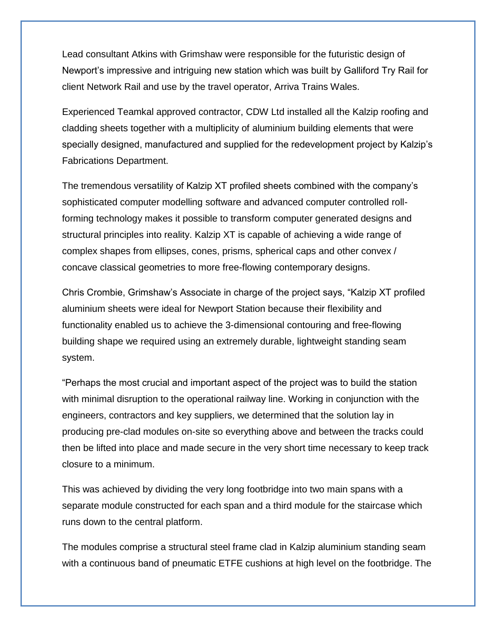Lead consultant Atkins with Grimshaw were responsible for the futuristic design of Newport's impressive and intriguing new station which was built by Galliford Try Rail for client Network Rail and use by the travel operator, Arriva Trains Wales.

Experienced Teamkal approved contractor, CDW Ltd installed all the Kalzip roofing and cladding sheets together with a multiplicity of aluminium building elements that were specially designed, manufactured and supplied for the redevelopment project by Kalzip's Fabrications Department.

The tremendous versatility of Kalzip XT profiled sheets combined with the company's sophisticated computer modelling software and advanced computer controlled rollforming technology makes it possible to transform computer generated designs and structural principles into reality. Kalzip XT is capable of achieving a wide range of complex shapes from ellipses, cones, prisms, spherical caps and other convex / concave classical geometries to more free-flowing contemporary designs.

Chris Crombie, Grimshaw's Associate in charge of the project says, "Kalzip XT profiled aluminium sheets were ideal for Newport Station because their flexibility and functionality enabled us to achieve the 3-dimensional contouring and free-flowing building shape we required using an extremely durable, lightweight standing seam system.

"Perhaps the most crucial and important aspect of the project was to build the station with minimal disruption to the operational railway line. Working in conjunction with the engineers, contractors and key suppliers, we determined that the solution lay in producing pre-clad modules on-site so everything above and between the tracks could then be lifted into place and made secure in the very short time necessary to keep track closure to a minimum.

This was achieved by dividing the very long footbridge into two main spans with a separate module constructed for each span and a third module for the staircase which runs down to the central platform.

The modules comprise a structural steel frame clad in Kalzip aluminium standing seam with a continuous band of pneumatic ETFE cushions at high level on the footbridge. The